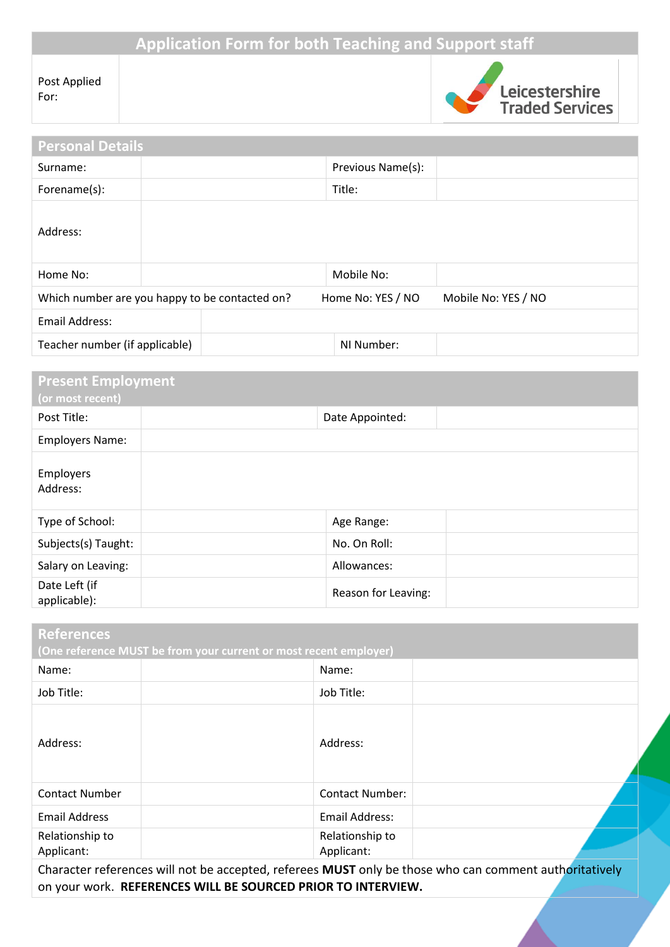# **Application Form for both Teaching and Support staff**

| Post Applied |
|--------------|
| For:         |



| <b>Personal Details</b>                        |  |                   |                     |
|------------------------------------------------|--|-------------------|---------------------|
| Surname:                                       |  | Previous Name(s): |                     |
| Forename(s):                                   |  | Title:            |                     |
| Address:                                       |  |                   |                     |
| Home No:                                       |  | Mobile No:        |                     |
| Which number are you happy to be contacted on? |  | Home No: YES / NO | Mobile No: YES / NO |
| <b>Email Address:</b>                          |  |                   |                     |
| Teacher number (if applicable)                 |  | NI Number:        |                     |
|                                                |  |                   |                     |

| <b>Present Employment</b><br>(or most recent) |                     |  |
|-----------------------------------------------|---------------------|--|
| Post Title:                                   | Date Appointed:     |  |
| <b>Employers Name:</b>                        |                     |  |
| Employers<br>Address:                         |                     |  |
| Type of School:                               | Age Range:          |  |
| Subjects(s) Taught:                           | No. On Roll:        |  |
| Salary on Leaving:                            | Allowances:         |  |
| Date Left (if<br>applicable):                 | Reason for Leaving: |  |

| <b>References</b>                                                 |                               |  |
|-------------------------------------------------------------------|-------------------------------|--|
| (One reference MUST be from your current or most recent employer) |                               |  |
| Name:                                                             | Name:                         |  |
| Job Title:                                                        | Job Title:                    |  |
| Address:                                                          | Address:                      |  |
| <b>Contact Number</b>                                             | <b>Contact Number:</b>        |  |
| <b>Email Address</b>                                              | <b>Email Address:</b>         |  |
| Relationship to<br>Applicant:                                     | Relationship to<br>Applicant: |  |

Character references will not be accepted, referees **MUST** only be those who can comment authoritatively on your work. **REFERENCES WILL BE SOURCED PRIOR TO INTERVIEW.**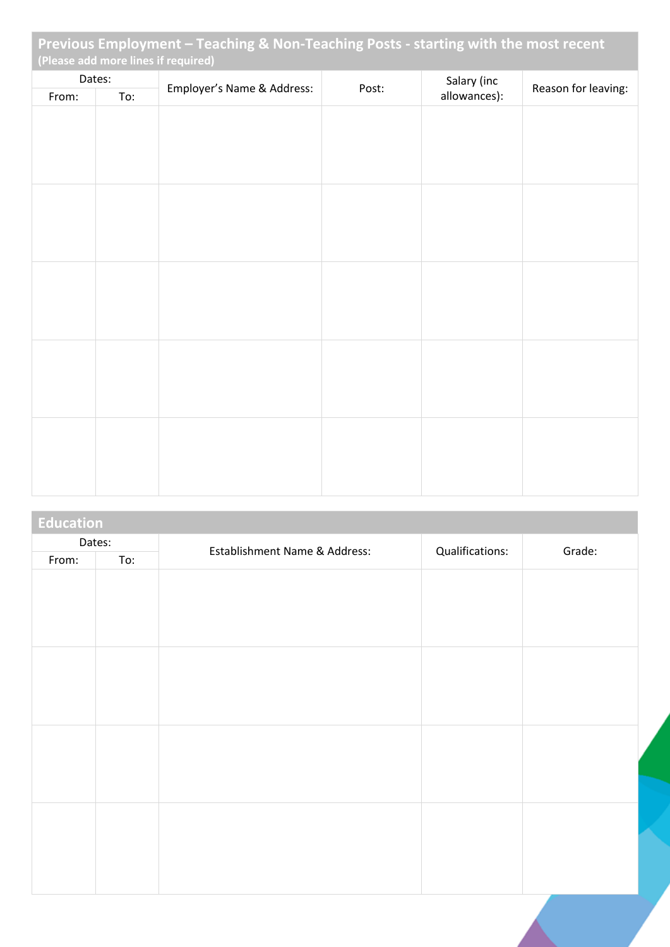| Previous Employment - Teaching & Non-Teaching Posts - starting with the most recent<br>(Please add more lines if required) |  |                            |       |                             |                     |
|----------------------------------------------------------------------------------------------------------------------------|--|----------------------------|-------|-----------------------------|---------------------|
| Dates:<br>From:<br>To:                                                                                                     |  | Employer's Name & Address: | Post: | Salary (inc<br>allowances): | Reason for leaving: |
|                                                                                                                            |  |                            |       |                             |                     |
|                                                                                                                            |  |                            |       |                             |                     |
|                                                                                                                            |  |                            |       |                             |                     |
|                                                                                                                            |  |                            |       |                             |                     |
|                                                                                                                            |  |                            |       |                             |                     |
|                                                                                                                            |  |                            |       |                             |                     |
|                                                                                                                            |  |                            |       |                             |                     |
|                                                                                                                            |  |                            |       |                             |                     |
|                                                                                                                            |  |                            |       |                             |                     |
|                                                                                                                            |  |                            |       |                             |                     |
|                                                                                                                            |  |                            |       |                             |                     |
|                                                                                                                            |  |                            |       |                             |                     |

| <b>Education</b> |     |                               |                 |        |
|------------------|-----|-------------------------------|-----------------|--------|
| Dates:           |     | Establishment Name & Address: | Qualifications: | Grade: |
| From:            | To: |                               |                 |        |
|                  |     |                               |                 |        |
|                  |     |                               |                 |        |
|                  |     |                               |                 |        |
|                  |     |                               |                 |        |
|                  |     |                               |                 |        |
|                  |     |                               |                 |        |
|                  |     |                               |                 |        |
|                  |     |                               |                 |        |
|                  |     |                               |                 |        |
|                  |     |                               |                 |        |
|                  |     |                               |                 |        |
|                  |     |                               |                 |        |
|                  |     |                               |                 |        |
|                  |     |                               |                 |        |
|                  |     |                               |                 |        |
|                  |     |                               |                 |        |
|                  |     |                               |                 |        |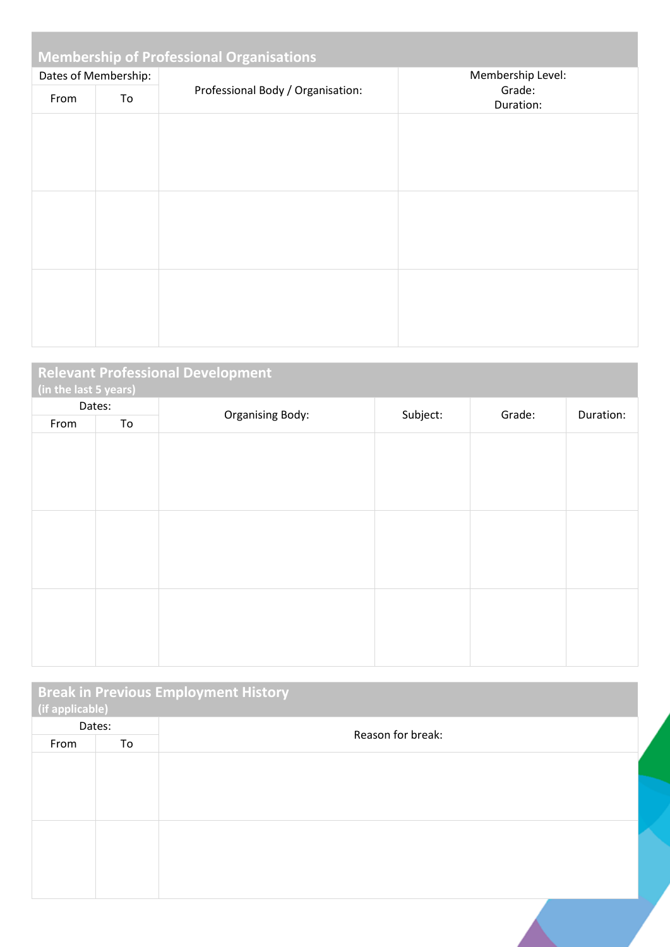| <b>Membership of Professional Organisations</b> |                      |                                   |                     |  |
|-------------------------------------------------|----------------------|-----------------------------------|---------------------|--|
|                                                 | Dates of Membership: |                                   | Membership Level:   |  |
| From                                            | To                   | Professional Body / Organisation: | Grade:<br>Duration: |  |
|                                                 |                      |                                   |                     |  |
|                                                 |                      |                                   |                     |  |
|                                                 |                      |                                   |                     |  |
|                                                 |                      |                                   |                     |  |
|                                                 |                      |                                   |                     |  |
|                                                 |                      |                                   |                     |  |
|                                                 |                      |                                   |                     |  |
|                                                 |                      |                                   |                     |  |
|                                                 |                      |                                   |                     |  |

| <b>Relevant Professional Development</b><br>(in the last 5 years) |        |                         |          |        |           |  |
|-------------------------------------------------------------------|--------|-------------------------|----------|--------|-----------|--|
|                                                                   | Dates: |                         |          |        |           |  |
| From                                                              | To     | <b>Organising Body:</b> | Subject: | Grade: | Duration: |  |
|                                                                   |        |                         |          |        |           |  |
|                                                                   |        |                         |          |        |           |  |
|                                                                   |        |                         |          |        |           |  |
|                                                                   |        |                         |          |        |           |  |
|                                                                   |        |                         |          |        |           |  |
|                                                                   |        |                         |          |        |           |  |
|                                                                   |        |                         |          |        |           |  |
|                                                                   |        |                         |          |        |           |  |
|                                                                   |        |                         |          |        |           |  |
|                                                                   |        |                         |          |        |           |  |
|                                                                   |        |                         |          |        |           |  |
|                                                                   |        |                         |          |        |           |  |

| (if applicable) |    | <b>Break in Previous Employment History</b> |  |
|-----------------|----|---------------------------------------------|--|
| Dates:          |    | Reason for break:                           |  |
| From            | To |                                             |  |
|                 |    |                                             |  |
|                 |    |                                             |  |
|                 |    |                                             |  |
|                 |    |                                             |  |
|                 |    |                                             |  |
|                 |    |                                             |  |
|                 |    |                                             |  |
|                 |    |                                             |  |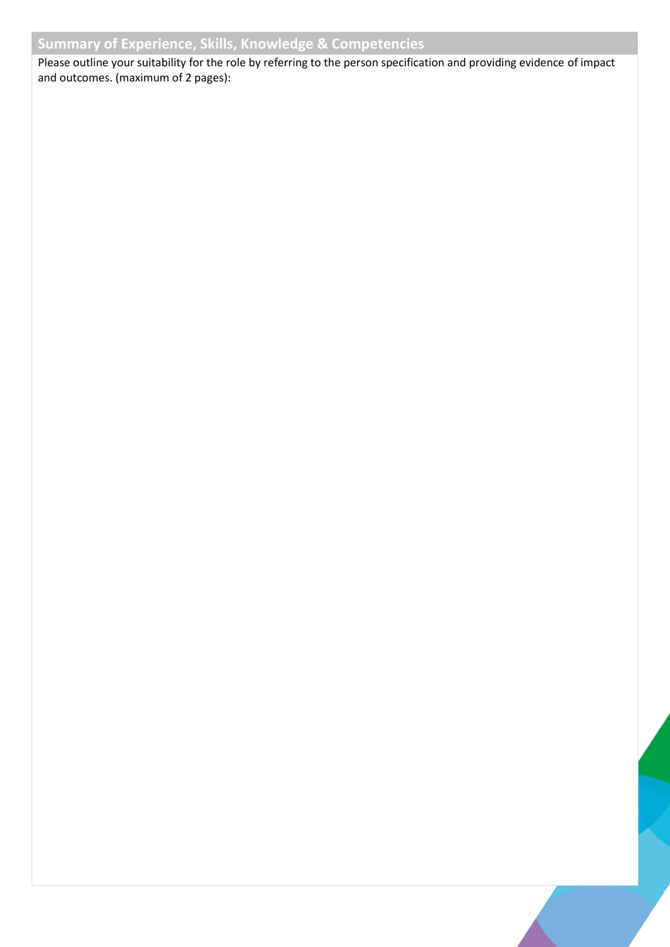## **Summary of Experience, Skills, Knowledge & Competencies**

Please outline your suitability for the role by referring to the person specification and providing evidence of impact and outcomes. (maximum of 2 pages):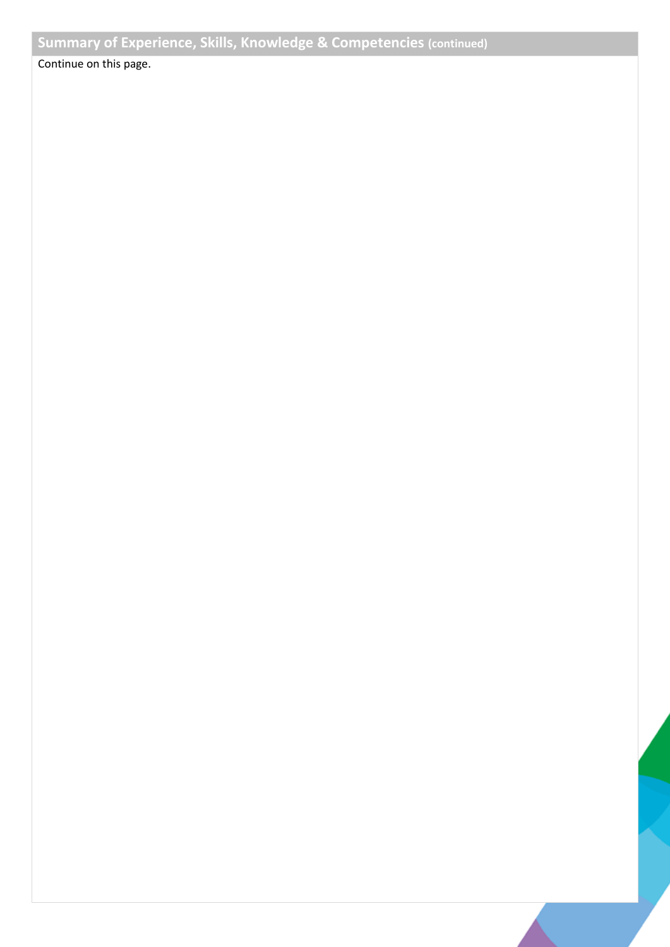Continue on this page.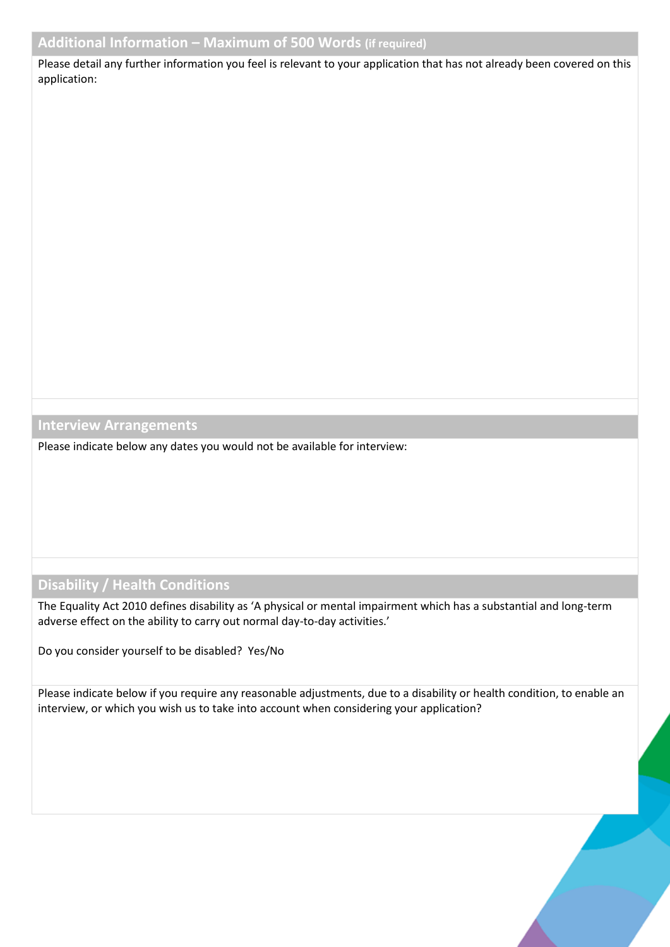Please detail any further information you feel is relevant to your application that has not already been covered on this application:

**Interview Arrangements**

Please indicate below any dates you would not be available for interview:

## **Disability / Health Conditions**

The Equality Act 2010 defines disability as 'A physical or mental impairment which has a substantial and long-term adverse effect on the ability to carry out normal day-to-day activities.'

Do you consider yourself to be disabled? Yes/No

Please indicate below if you require any reasonable adjustments, due to a disability or health condition, to enable an interview, or which you wish us to take into account when considering your application?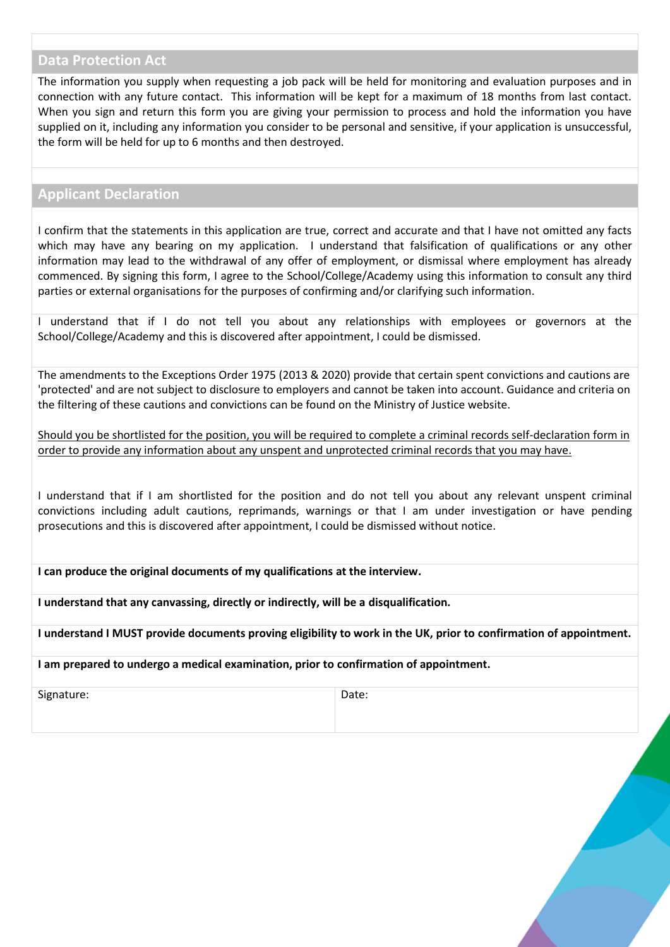#### **Data Protection Act**

The information you supply when requesting a job pack will be held for monitoring and evaluation purposes and in connection with any future contact. This information will be kept for a maximum of 18 months from last contact. When you sign and return this form you are giving your permission to process and hold the information you have supplied on it, including any information you consider to be personal and sensitive, if your application is unsuccessful, the form will be held for up to 6 months and then destroyed.

#### **Applicant Declaration**

I confirm that the statements in this application are true, correct and accurate and that I have not omitted any facts which may have any bearing on my application. I understand that falsification of qualifications or any other information may lead to the withdrawal of any offer of employment, or dismissal where employment has already commenced. By signing this form, I agree to the School/College/Academy using this information to consult any third parties or external organisations for the purposes of confirming and/or clarifying such information.

I understand that if I do not tell you about any relationships with employees or governors at the School/College/Academy and this is discovered after appointment, I could be dismissed.

The amendments to the Exceptions Order 1975 (2013 & 2020) provide that certain spent convictions and cautions are 'protected' and are not subject to disclosure to employers and cannot be taken into account. Guidance and criteria on the filtering of these cautions and convictions can be found on the Ministry of Justice website.

Should you be shortlisted for the position, you will be required to complete a criminal records self-declaration form in order to provide any information about any unspent and unprotected criminal records that you may have.

I understand that if I am shortlisted for the position and do not tell you about any relevant unspent criminal convictions including adult cautions, reprimands, warnings or that I am under investigation or have pending prosecutions and this is discovered after appointment, I could be dismissed without notice.

**I can produce the original documents of my qualifications at the interview.**

**I understand that any canvassing, directly or indirectly, will be a disqualification.**

**I understand I MUST provide documents proving eligibility to work in the UK, prior to confirmation of appointment.**

**I am prepared to undergo a medical examination, prior to confirmation of appointment.**

Signature: Date: Date: Date: Date: Date: Date: Date: Date: Date: Date: Date: Date: Date: Date: Date: Date: Date: Date: Date: Date: Date: Date: Date: Date: Date: Date: Date: Date: Date: Date: Date: Date: Date: Date: Date: D